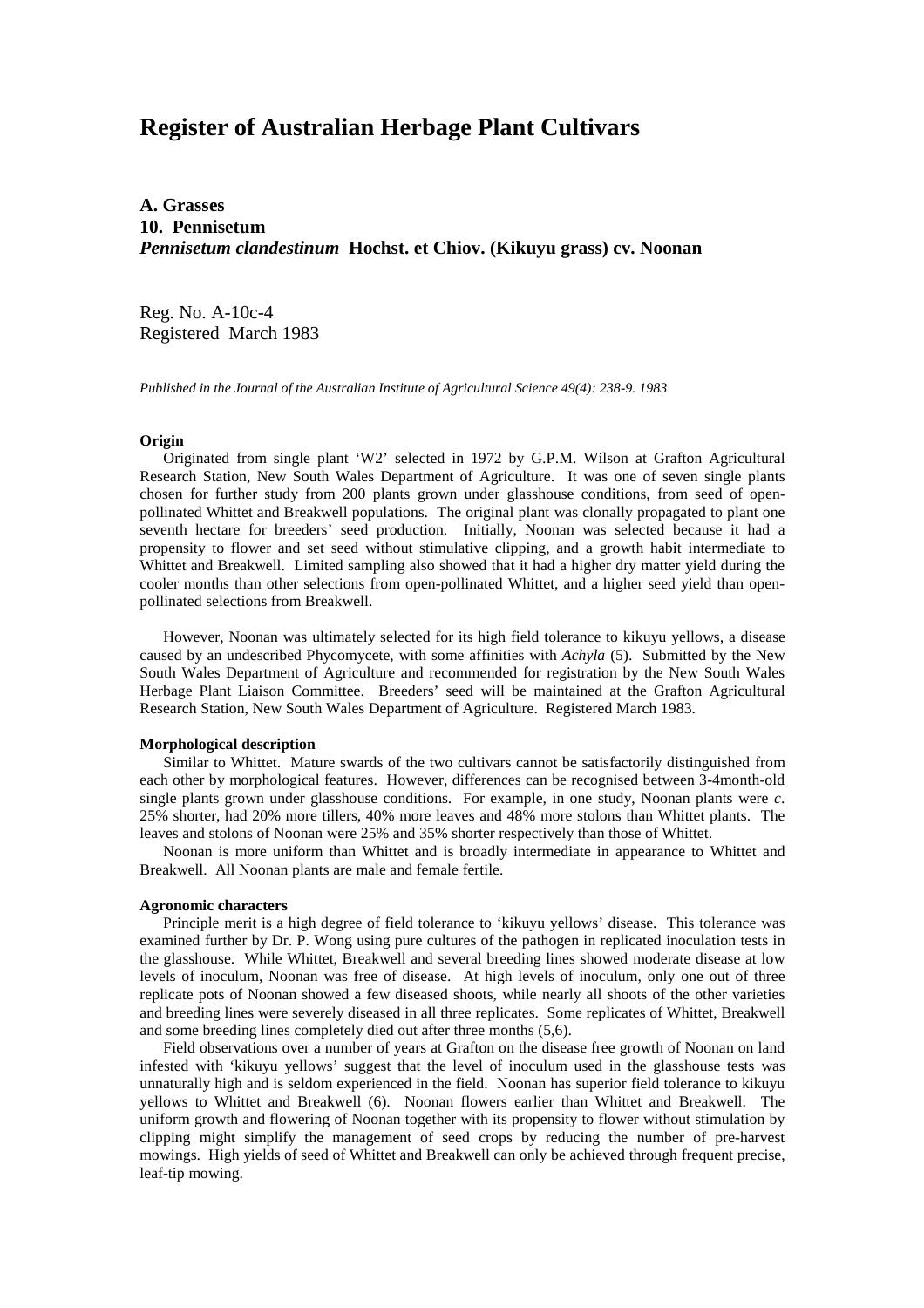# **Register of Australian Herbage Plant Cultivars**

**A. Grasses 10. Pennisetum** *Pennisetum clandestinum* **Hochst. et Chiov. (Kikuyu grass) cv. Noonan**

Reg. No. A-10c-4 Registered March 1983

*Published in the Journal of the Australian Institute of Agricultural Science 49(4): 238-9. 1983*

## **Origin**

 Originated from single plant 'W2' selected in 1972 by G.P.M. Wilson at Grafton Agricultural Research Station, New South Wales Department of Agriculture. It was one of seven single plants chosen for further study from 200 plants grown under glasshouse conditions, from seed of openpollinated Whittet and Breakwell populations. The original plant was clonally propagated to plant one seventh hectare for breeders' seed production. Initially, Noonan was selected because it had a propensity to flower and set seed without stimulative clipping, and a growth habit intermediate to Whittet and Breakwell. Limited sampling also showed that it had a higher dry matter yield during the cooler months than other selections from open-pollinated Whittet, and a higher seed yield than openpollinated selections from Breakwell.

 However, Noonan was ultimately selected for its high field tolerance to kikuyu yellows, a disease caused by an undescribed Phycomycete, with some affinities with *Achyla* (5). Submitted by the New South Wales Department of Agriculture and recommended for registration by the New South Wales Herbage Plant Liaison Committee. Breeders' seed will be maintained at the Grafton Agricultural Research Station, New South Wales Department of Agriculture. Registered March 1983.

#### **Morphological description**

 Similar to Whittet. Mature swards of the two cultivars cannot be satisfactorily distinguished from each other by morphological features. However, differences can be recognised between 3-4month-old single plants grown under glasshouse conditions. For example, in one study, Noonan plants were *c*. 25% shorter, had 20% more tillers, 40% more leaves and 48% more stolons than Whittet plants. The leaves and stolons of Noonan were 25% and 35% shorter respectively than those of Whittet.

 Noonan is more uniform than Whittet and is broadly intermediate in appearance to Whittet and Breakwell. All Noonan plants are male and female fertile.

### **Agronomic characters**

 Principle merit is a high degree of field tolerance to 'kikuyu yellows' disease. This tolerance was examined further by Dr. P. Wong using pure cultures of the pathogen in replicated inoculation tests in the glasshouse. While Whittet, Breakwell and several breeding lines showed moderate disease at low levels of inoculum, Noonan was free of disease. At high levels of inoculum, only one out of three replicate pots of Noonan showed a few diseased shoots, while nearly all shoots of the other varieties and breeding lines were severely diseased in all three replicates. Some replicates of Whittet, Breakwell and some breeding lines completely died out after three months (5,6).

 Field observations over a number of years at Grafton on the disease free growth of Noonan on land infested with 'kikuyu yellows' suggest that the level of inoculum used in the glasshouse tests was unnaturally high and is seldom experienced in the field. Noonan has superior field tolerance to kikuyu yellows to Whittet and Breakwell (6). Noonan flowers earlier than Whittet and Breakwell. The uniform growth and flowering of Noonan together with its propensity to flower without stimulation by clipping might simplify the management of seed crops by reducing the number of pre-harvest mowings. High yields of seed of Whittet and Breakwell can only be achieved through frequent precise, leaf-tip mowing.